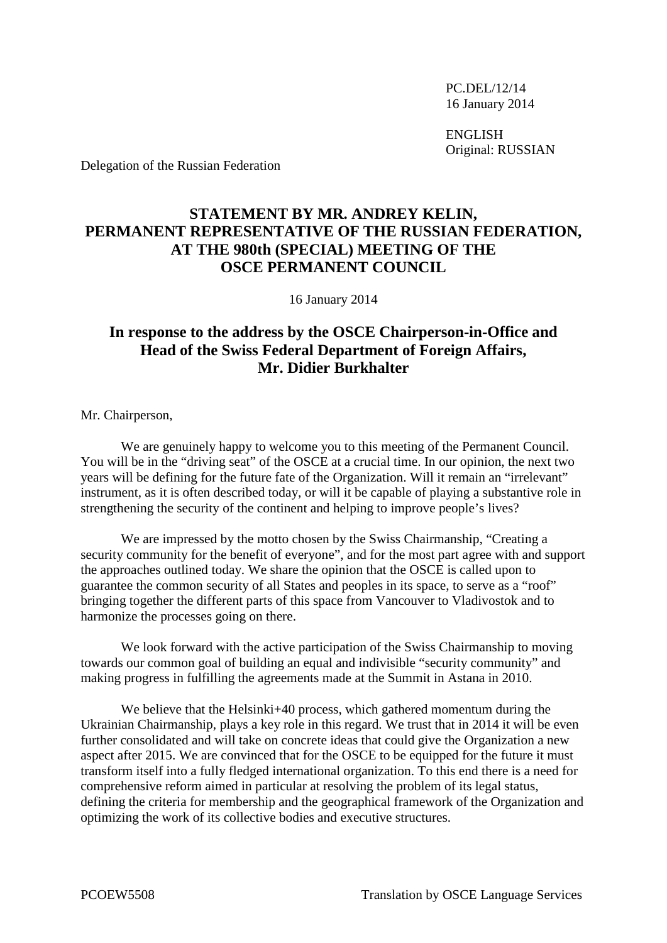PC.DEL/12/14 16 January 2014

ENGLISH Original: RUSSIAN

Delegation of the Russian Federation

## **STATEMENT BY MR. ANDREY KELIN, PERMANENT REPRESENTATIVE OF THE RUSSIAN FEDERATION, AT THE 980th (SPECIAL) MEETING OF THE OSCE PERMANENT COUNCIL**

16 January 2014

## **In response to the address by the OSCE Chairperson-in-Office and Head of the Swiss Federal Department of Foreign Affairs, Mr. Didier Burkhalter**

Mr. Chairperson,

We are genuinely happy to welcome you to this meeting of the Permanent Council. You will be in the "driving seat" of the OSCE at a crucial time. In our opinion, the next two years will be defining for the future fate of the Organization. Will it remain an "irrelevant" instrument, as it is often described today, or will it be capable of playing a substantive role in strengthening the security of the continent and helping to improve people's lives?

We are impressed by the motto chosen by the Swiss Chairmanship, "Creating a security community for the benefit of everyone", and for the most part agree with and support the approaches outlined today. We share the opinion that the OSCE is called upon to guarantee the common security of all States and peoples in its space, to serve as a "roof" bringing together the different parts of this space from Vancouver to Vladivostok and to harmonize the processes going on there.

We look forward with the active participation of the Swiss Chairmanship to moving towards our common goal of building an equal and indivisible "security community" and making progress in fulfilling the agreements made at the Summit in Astana in 2010.

We believe that the Helsinki+40 process, which gathered momentum during the Ukrainian Chairmanship, plays a key role in this regard. We trust that in 2014 it will be even further consolidated and will take on concrete ideas that could give the Organization a new aspect after 2015. We are convinced that for the OSCE to be equipped for the future it must transform itself into a fully fledged international organization. To this end there is a need for comprehensive reform aimed in particular at resolving the problem of its legal status, defining the criteria for membership and the geographical framework of the Organization and optimizing the work of its collective bodies and executive structures.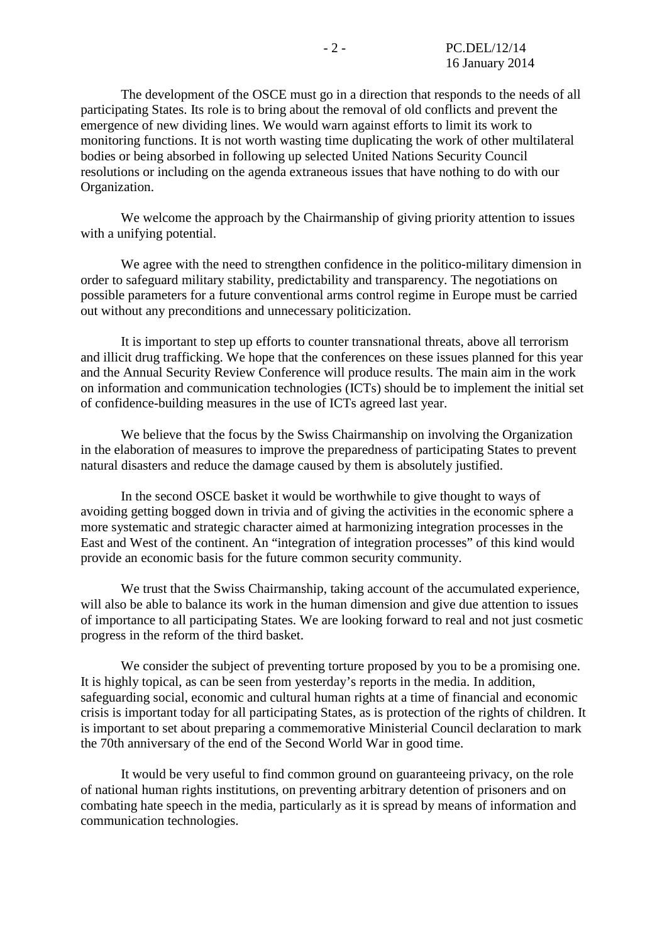The development of the OSCE must go in a direction that responds to the needs of all participating States. Its role is to bring about the removal of old conflicts and prevent the emergence of new dividing lines. We would warn against efforts to limit its work to monitoring functions. It is not worth wasting time duplicating the work of other multilateral bodies or being absorbed in following up selected United Nations Security Council resolutions or including on the agenda extraneous issues that have nothing to do with our Organization.

We welcome the approach by the Chairmanship of giving priority attention to issues with a unifying potential.

We agree with the need to strengthen confidence in the politico-military dimension in order to safeguard military stability, predictability and transparency. The negotiations on possible parameters for a future conventional arms control regime in Europe must be carried out without any preconditions and unnecessary politicization.

It is important to step up efforts to counter transnational threats, above all terrorism and illicit drug trafficking. We hope that the conferences on these issues planned for this year and the Annual Security Review Conference will produce results. The main aim in the work on information and communication technologies (ICTs) should be to implement the initial set of confidence-building measures in the use of ICTs agreed last year.

We believe that the focus by the Swiss Chairmanship on involving the Organization in the elaboration of measures to improve the preparedness of participating States to prevent natural disasters and reduce the damage caused by them is absolutely justified.

In the second OSCE basket it would be worthwhile to give thought to ways of avoiding getting bogged down in trivia and of giving the activities in the economic sphere a more systematic and strategic character aimed at harmonizing integration processes in the East and West of the continent. An "integration of integration processes" of this kind would provide an economic basis for the future common security community.

We trust that the Swiss Chairmanship, taking account of the accumulated experience, will also be able to balance its work in the human dimension and give due attention to issues of importance to all participating States. We are looking forward to real and not just cosmetic progress in the reform of the third basket.

We consider the subject of preventing torture proposed by you to be a promising one. It is highly topical, as can be seen from yesterday's reports in the media. In addition, safeguarding social, economic and cultural human rights at a time of financial and economic crisis is important today for all participating States, as is protection of the rights of children. It is important to set about preparing a commemorative Ministerial Council declaration to mark the 70th anniversary of the end of the Second World War in good time.

It would be very useful to find common ground on guaranteeing privacy, on the role of national human rights institutions, on preventing arbitrary detention of prisoners and on combating hate speech in the media, particularly as it is spread by means of information and communication technologies.